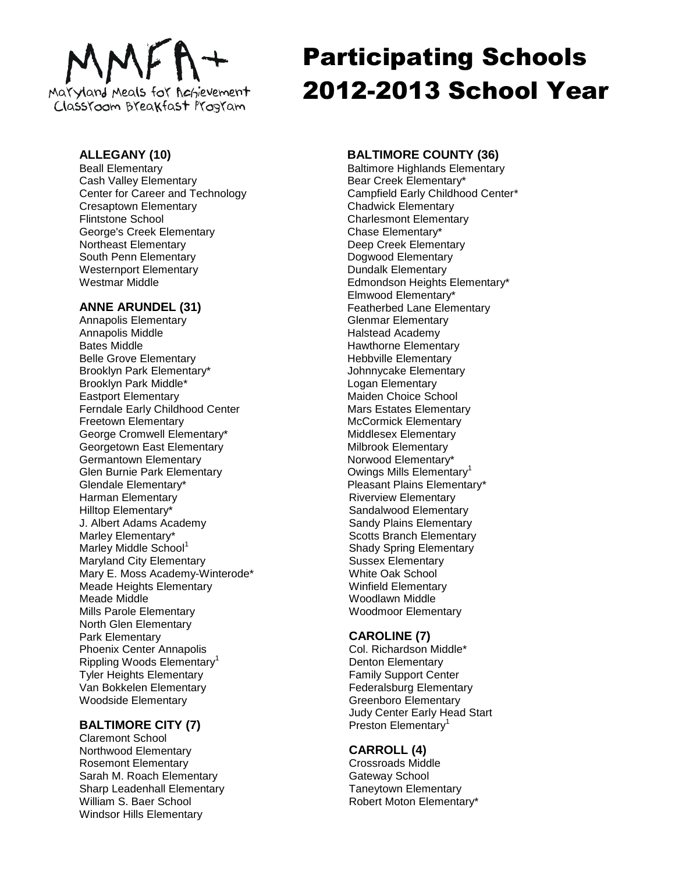# Maryland Meals for Achievement ClassYoom Breakfast Program

# **ALLEGANY (10)**

Beall Elementary Cash Valley Elementary Center for Career and Technology Cresaptown Elementary Flintstone School George's Creek Elementary Northeast Elementary South Penn Elementary Westernport Elementary Westmar Middle

# **ANNE ARUNDEL (31)**

Annapolis Elementary Annapolis Middle Bates Middle Belle Grove Elementary Brooklyn Park Elementary\* Brooklyn Park Middle\* Eastport Elementary Ferndale Early Childhood Center Freetown Elementary George Cromwell Elementary\* Georgetown East Elementary Germantown Elementary Glen Burnie Park Elementary Glendale Elementary\* Harman Elementary Hilltop Elementary\* J. Albert Adams Academy Marley Elementary\* Marley Middle School<sup>1</sup> Maryland City Elementary Mary E. Moss Academy-Winterode\* Meade Heights Elementary Meade Middle Mills Parole Elementary North Glen Elementary Park Elementary Phoenix Center Annapolis Rippling Woods Elementary<sup>1</sup> Tyler Heights Elementary Van Bokkelen Elementary Woodside Elementary

# **BALTIMORE CITY (7)**

Claremont School Northwood Elementary Rosemont Elementary Sarah M. Roach Elementary Sharp Leadenhall Elementary William S. Baer School Windsor Hills Elementary

# Participating Schools 2012-2013 School Year

# **BALTIMORE COUNTY (36)**

Baltimore Highlands Elementary Bear Creek Elementary\* Campfield Early Childhood Center\* Chadwick Elementary Charlesmont Elementary Chase Elementary\* Deep Creek Elementary Dogwood Elementary Dundalk Elementary Edmondson Heights Elementary\* Elmwood Elementary\* Featherbed Lane Elementary Glenmar Elementary Halstead Academy Hawthorne Elementary Hebbville Elementary Johnnycake Elementary Logan Elementary Maiden Choice School Mars Estates Elementary McCormick Elementary Middlesex Elementary Milbrook Elementary Norwood Elementary\* Owings Mills Elementary<sup>1</sup> Pleasant Plains Elementary\* Riverview Elementary Sandalwood Elementary Sandy Plains Elementary Scotts Branch Elementary Shady Spring Elementary Sussex Elementary White Oak School Winfield Elementary Woodlawn Middle Woodmoor Elementary

# **CAROLINE (7)**

Col. Richardson Middle\* Denton Elementary Family Support Center Federalsburg Elementary Greenboro Elementary Judy Center Early Head Start Preston Elementary<sup>1</sup>

# **CARROLL (4)**

Crossroads Middle Gateway School Taneytown Elementary Robert Moton Elementary\*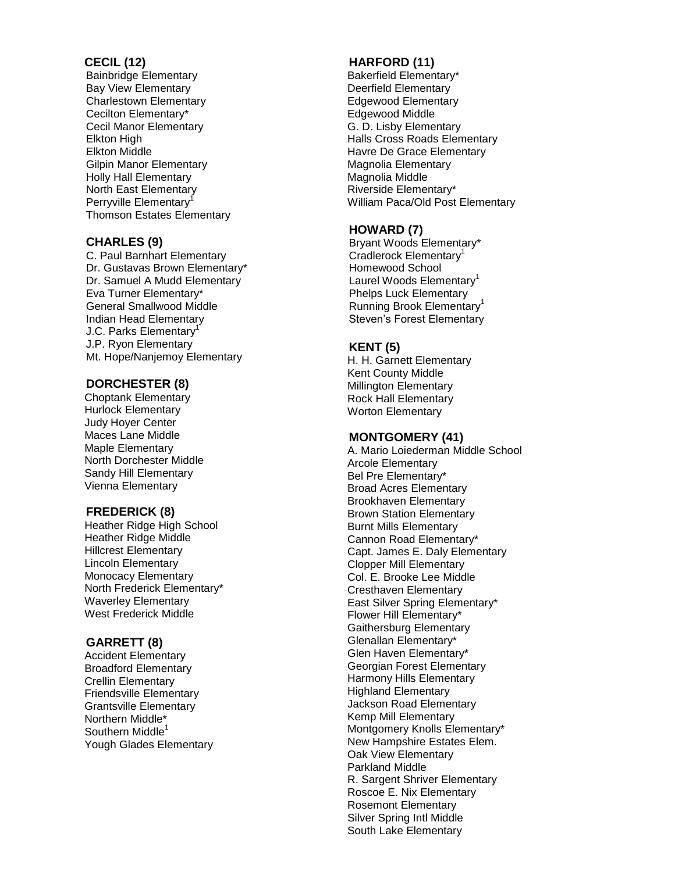#### **CECIL ( 1 2 )**

Bainbridge Elementary Bay View Elementary Charlestown Elementary Cecilton Elementary\* Cecil Manor Elementary Elkton High Elkton Middle Gilpin Manor Elementary Holly Hall Elementary North East Elementary Perryville Elementary<sup>1</sup> Thomson Estates Elementary

# **CHARLES ( 9 )**

C . Paul Barnhart Elementary Dr. Gustavas Brown Elementary\* Dr. Samuel A Mudd Elementary Eva Turner Elementary\* General Smallwood Middle Indian Head Elementary J.C. Parks Elementary<sup>1</sup> J.P. Ryon Elementary Mt . Hope/Nanjemoy Elementary

# **DORCHESTER ( 8 )**

Choptank Elementary Hurlock Elementary Judy Hoyer Center Maces Lane Middle Maple Elementary North Dorchester Middle Sandy Hill Elementary Vienna Elementary

# **FREDERICK ( 8 )**

Heather Ridge High School Heather Ridge Middle Hillcrest Elementary Lincoln Elementary Monocacy Elementary North Frederick Elementary\* Waverley Elementary West Frederick Middle

# **GARRETT ( 8 )**

Accident Elementary Broadford Elementary Crellin Elementary Friendsville Elementary Grantsville Elementary Northern Middle\* Southern Middle<sup>1</sup> Yough Glades Elementary

# **HARFORD (11 )**

Bakerfield Elementary\* Deerfield Elementary Edgewood Elementary Edgewood Middle G. D. Lisby Elementary Halls Cross Roads Elementary Havre De Grace Elementary Magnolia Elementary Magnolia Middle Riverside Elementary\* William Paca/Old Post Elementary

# **HOWARD ( 7 )**

Bryant Woods Elementary\* Cradlerock Elementary<sup>1</sup> Homewood School Laurel Woods Elementary<sup>1</sup> Phelps Luck Elementary Running Brook Elementary<sup>1</sup> Steven's Forest Elementary

# **KENT ( 5 )**

H . H . Garnett Elementary Kent County Middle Millington Elementary Rock Hall Elementary Worton Elementary

# **MONTGOMERY ( 4 1 )**

A . Mario Loiederman Middle School Arcole Elementary Bel Pre Elementary\* Broad Acres Elementary Brookhaven Elementary Brown Station Elementary Burnt Mills Elementary Cannon Road Elementary\* Capt. James E. Daly Elementary Clopper Mill Elementary Col. E. Brooke Lee Middle Cresthaven Elementary East Silver Spring Elementary\* Flower Hill Elementary\* Gaithersburg Elementary Glenallan Elementary\* Glen Haven Elementary\* Georgian Forest Elementary Harmony Hills Elementary Highland Elementary Jackson Road Elementary Kemp Mill Elementary Montgomery Knolls Elementary\* New Hampshire Estates Elem. Oak View Elementary Parkland Middle R. Sargent Shriver Elementary Roscoe E. Nix Elementary Rosemont Elementary Silver Spring Intl Middle South Lake Elementary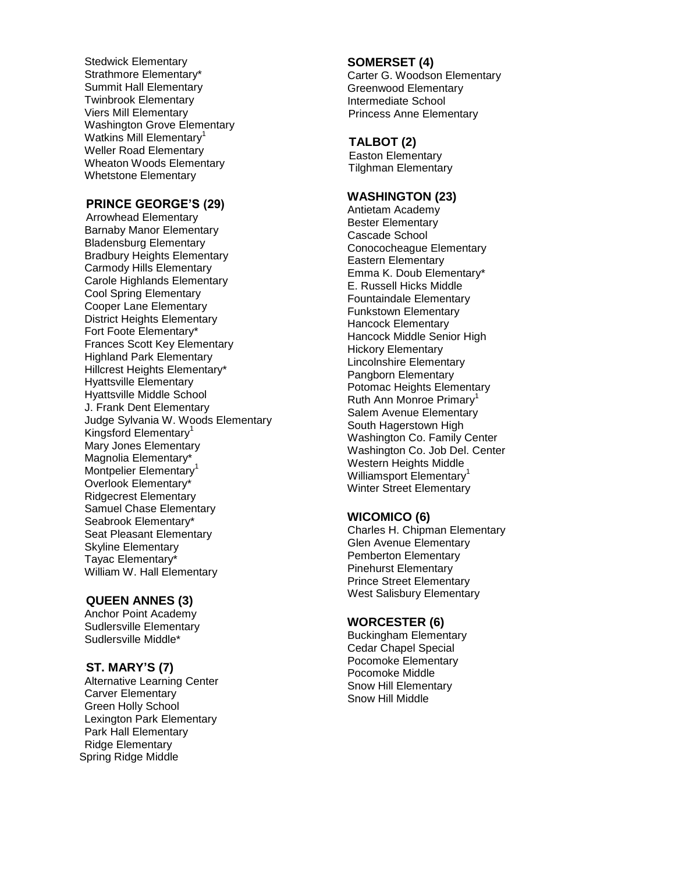Stedwick Elementary Strathmore Elementary\* Summit Hall Elementary Twinbrook Elementary Viers Mill Elementary Washington Grove Elementary Watkins Mill Elementary<sup>1</sup> Weller Road Elementary Wheaton Woods Elementary Whetstone Elementary

# **PRINCE GEORGE'S (29)**

Arrowhead Elementary Barnaby Manor Elementary Bladensburg Elementary Bradbury Heights Elementary Carmody Hills Elementary Carole Highlands Elementary Cool Spring Elementary Cooper Lane Elementary District Heights Elementary Fort Foote Elementary\* Frances Scott Key Elementary Highland Park Elementary Hillcrest Heights Elementary\* Hyattsville Elementary Hyattsville Middle School J. Frank Dent Elementary Judge Sylvania W. Woods Elementary Kingsford Elementary<sup>1</sup> Mary Jones Elementary Magnolia Elementary\* Montpelier Elementary<sup>1</sup> Overlook Elementary\* Ridgecrest Elementary Samuel Chase Elementary Seabrook Elementary\* Seat Pleasant Elementary Skyline Elementary Tayac Elementary\* William W. Hall Elementary

#### **QUEEN ANNES (3)**

Anchor Point Academy Sudlersville Elementary Sudlersville Middle\*

# **ST. MARY'S (7)**

Alternative Learning Center Carver Elementary Green Holly School Lexington Park Elementary Park Hall Elementary Ridge Elementary Spring Ridge Middle

#### **SOMERSET (4)**

Carter G. Woodson Elementary Greenwood Elementary Intermediate School Princess Anne Elementary

#### **TALBOT (2)**

Easton Elementary Tilghman Elementary

#### **WASHINGTON (23)**

Antietam Academy Bester Elementary Cascade School Conococheague Elementary Eastern Elementary Emma K. Doub Elementary\* E. Russell Hicks Middle Fountaindale Elementary Funkstown Elementary Hancock Elementary Hancock Middle Senior High Hickory Elementary Lincolnshire Elementary Pangborn Elementary Potomac Heights Elementary Ruth Ann Monroe Primary<sup>1</sup> Salem Avenue Elementary South Hagerstown High Washington Co. Family Center Washington Co. Job Del. Center Western Heights Middle Williamsport Elementary<sup>1</sup> Winter Street Elementary

# **WICOMICO (6)**

Charles H. Chipman Elementary Glen Avenue Elementary Pemberton Elementary Pinehurst Elementary Prince Street Elementary West Salisbury Elementary

#### **WORCESTER (6)**

Buckingham Elementary Cedar Chapel Special Pocomoke Elementary Pocomoke Middle Snow Hill Elementary Snow Hill Middle